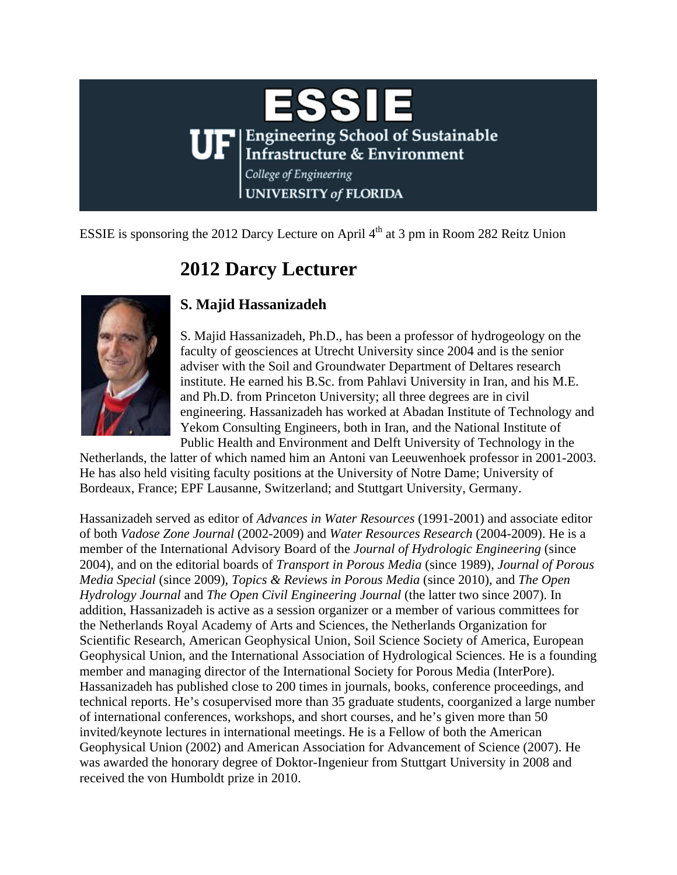

ESSIE is sponsoring the 2012 Darcy Lecture on April  $4<sup>th</sup>$  at 3 pm in Room 282 Reitz Union

## **2012 Darcy Lecturer**



## **S. Majid Hassanizadeh**

S. Majid Hassanizadeh, Ph.D., has been a professor of hydrogeology on the faculty of geosciences at Utrecht University since 2004 and is the senior adviser with the Soil and Groundwater Department of Deltares research institute. He earned his B.Sc. from Pahlavi University in Iran, and his M.E. and Ph.D. from Princeton University; all three degrees are in civil engineering. Hassanizadeh has worked at Abadan Institute of Technology and Yekom Consulting Engineers, both in Iran, and the National Institute of Public Health and Environment and Delft University of Technology in the

Netherlands, the latter of which named him an Antoni van Leeuwenhoek professor in 2001-2003. He has also held visiting faculty positions at the University of Notre Dame; University of Bordeaux, France; EPF Lausanne, Switzerland; and Stuttgart University, Germany.

Hassanizadeh served as editor of *Advances in Water Resources* (1991-2001) and associate editor of both *Vadose Zone Journal* (2002-2009) and *Water Resources Research* (2004-2009). He is a member of the International Advisory Board of the *Journal of Hydrologic Engineering* (since 2004), and on the editorial boards of *Transport in Porous Media* (since 1989), *Journal of Porous Media Special* (since 2009), *Topics & Reviews in Porous Media* (since 2010), and *The Open Hydrology Journal* and *The Open Civil Engineering Journal* (the latter two since 2007). In addition, Hassanizadeh is active as a session organizer or a member of various committees for the Netherlands Royal Academy of Arts and Sciences, the Netherlands Organization for Scientific Research, American Geophysical Union, Soil Science Society of America, European Geophysical Union, and the International Association of Hydrological Sciences. He is a founding member and managing director of the International Society for Porous Media (InterPore). Hassanizadeh has published close to 200 times in journals, books, conference proceedings, and technical reports. He's cosupervised more than 35 graduate students, coorganized a large number of international conferences, workshops, and short courses, and he's given more than 50 invited/keynote lectures in international meetings. He is a Fellow of both the American Geophysical Union (2002) and American Association for Advancement of Science (2007). He was awarded the honorary degree of Doktor-Ingenieur from Stuttgart University in 2008 and received the von Humboldt prize in 2010.